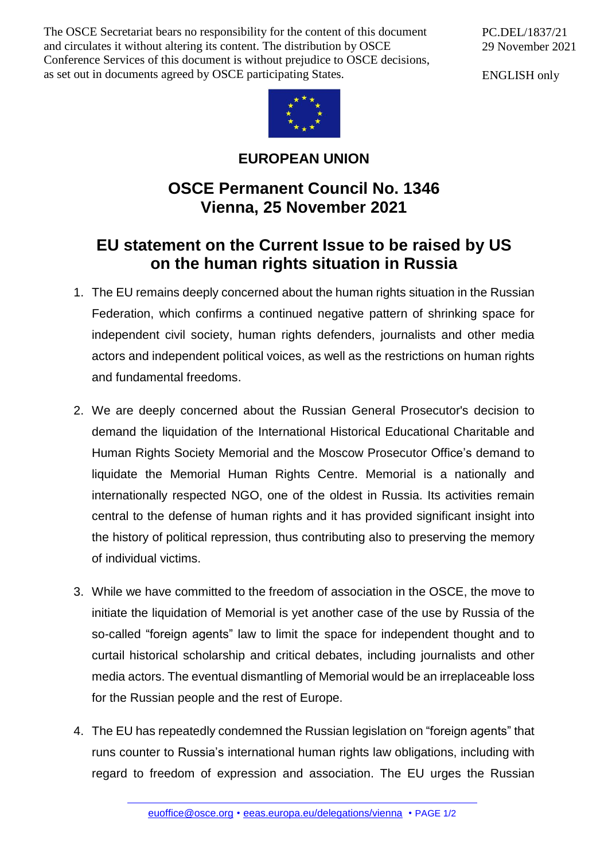The OSCE Secretariat bears no responsibility for the content of this document and circulates it without altering its content. The distribution by OSCE Conference Services of this document is without prejudice to OSCE decisions, as set out in documents agreed by OSCE participating States.

PC.DEL/1837/21 29 November 2021

ENGLISH only



## **EUROPEAN UNION**

## **OSCE Permanent Council No. 1346 Vienna, 25 November 2021**

## **EU statement on the Current Issue to be raised by US on the human rights situation in Russia**

- 1. The EU remains deeply concerned about the human rights situation in the Russian Federation, which confirms a continued negative pattern of shrinking space for independent civil society, human rights defenders, journalists and other media actors and independent political voices, as well as the restrictions on human rights and fundamental freedoms.
- 2. We are deeply concerned about the Russian General Prosecutor's decision to demand the liquidation of the International Historical Educational Charitable and Human Rights Society Memorial and the Moscow Prosecutor Office's demand to liquidate the Memorial Human Rights Centre. Memorial is a nationally and internationally respected NGO, one of the oldest in Russia. Its activities remain central to the defense of human rights and it has provided significant insight into the history of political repression, thus contributing also to preserving the memory of individual victims.
- 3. While we have committed to the freedom of association in the OSCE, the move to initiate the liquidation of Memorial is yet another case of the use by Russia of the so-called "foreign agents" law to limit the space for independent thought and to curtail historical scholarship and critical debates, including journalists and other media actors. The eventual dismantling of Memorial would be an irreplaceable loss for the Russian people and the rest of Europe.
- 4. The EU has repeatedly condemned the Russian legislation on "foreign agents" that runs counter to Russia's international human rights law obligations, including with regard to freedom of expression and association. The EU urges the Russian